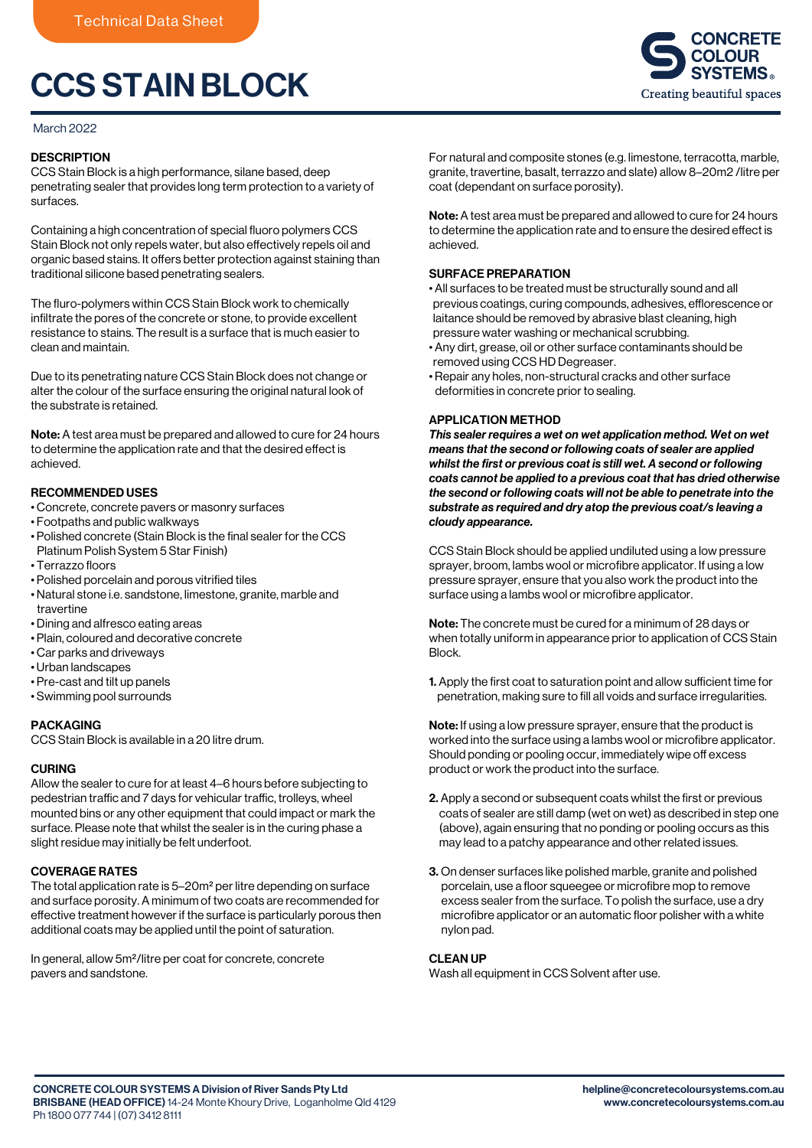# CCS STAIN BLOCK

#### March 2022

## **DESCRIPTION**

CCS Stain Block is a high performance, silane based, deep penetrating sealer that provides long term protection to a variety of surfaces.

Containing a high concentration of special fluoro polymers CCS Stain Block not only repels water, but also effectively repels oil and organic based stains. It offers better protection against staining than traditional silicone based penetrating sealers.

The fluro-polymers within CCS Stain Block work to chemically infiltrate the pores of the concrete or stone, to provide excellent resistance to stains. The result is a surface that is much easier to clean and maintain.

Due to its penetrating nature CCS Stain Block does not change or alter the colour of the surface ensuring the original natural look of the substrate is retained.

Note: A test area must be prepared and allowed to cure for 24 hours to determine the application rate and that the desired effect is achieved.

## RECOMMENDED USES

- Concrete, concrete pavers or masonry surfaces
- Footpaths and public walkways
- Polished concrete (Stain Block is the final sealer for the CCS Platinum Polish System 5 Star Finish)
- Terrazzo floors
- Polished porcelain and porous vitrified tiles
- Natural stone i.e. sandstone, limestone, granite, marble and travertine
- Dining and alfresco eating areas
- Plain, coloured and decorative concrete
- Car parks and driveways
- Urban landscapes
- Pre-cast and tilt up panels
- Swimming pool surrounds

#### PACKAGING

CCS Stain Block is available in a 20 litre drum.

## CURING

Allow the sealer to cure for at least 4–6 hours before subjecting to pedestrian traffic and 7 days for vehicular traffic, trolleys, wheel mounted bins or any other equipment that could impact or mark the surface. Please note that whilst the sealer is in the curing phase a slight residue may initially be felt underfoot.

## COVERAGE RATES

The total application rate is 5–20m<sup>2</sup> per litre depending on surface and surface porosity. A minimum of two coats are recommended for effective treatment however if the surface is particularly porous then additional coats may be applied until the point of saturation.

In general, allow 5m2/litre per coat for concrete, concrete pavers and sandstone.

For natural and composite stones (e.g. limestone, terracotta, marble, granite, travertine, basalt, terrazzo and slate) allow 8–20m2 /litre per coat (dependant on surface porosity).

Note: A test area must be prepared and allowed to cure for 24 hours to determine the application rate and to ensure the desired effect is achieved.

#### SURFACE PREPARATION

- All surfaces to be treated must be structurally sound and all previous coatings, curing compounds, adhesives, efflorescence or laitance should be removed by abrasive blast cleaning, high pressure water washing or mechanical scrubbing.
- Any dirt, grease, oil or other surface contaminants should be removed using CCS HD Degreaser.
- Repair any holes, non-structural cracks and other surface deformities in concrete prior to sealing.

## APPLICATION METHOD

*This sealer requires a wet on wet application method. Wet on wet means that the second or following coats of sealer are applied whilst the first or previous coat is still wet. A second or following coats cannot be applied to a previous coat that has dried otherwise the second or following coats will not be able to penetrate into the substrate as required and dry atop the previous coat/s leaving a cloudy appearance.*

CCS Stain Block should be applied undiluted using a low pressure sprayer, broom, lambs wool or microfibre applicator. If using a low pressure sprayer, ensure that you also work the product into the surface using a lambs wool or microfibre applicator.

Note: The concrete must be cured for a minimum of 28 days or when totally uniform in appearance prior to application of CCS Stain Block.

1. Apply the first coat to saturation point and allow sufficient time for penetration, making sure to fill all voids and surface irregularities.

Note: If using a low pressure sprayer, ensure that the product is worked into the surface using a lambs wool or microfibre applicator. Should ponding or pooling occur, immediately wipe off excess product or work the product into the surface.

- 2. Apply a second or subsequent coats whilst the first or previous coats of sealer are still damp (wet on wet) as described in step one (above), again ensuring that no ponding or pooling occurs as this may lead to a patchy appearance and other related issues.
- 3. On denser surfaces like polished marble, granite and polished porcelain, use a floor squeegee or microfibre mop to remove excess sealer from the surface. To polish the surface, use a dry microfibre applicator or an automatic floor polisher with a white nylon pad.

#### CLEAN UP

Wash all equipment in CCS Solvent after use.